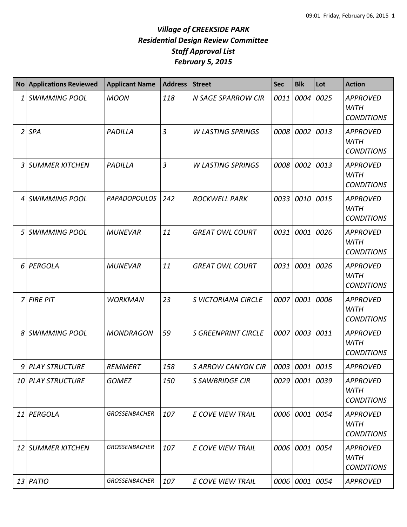|                | No Applications Reviewed | <b>Applicant Name</b> | <b>Address</b> | <b>Street</b>              | <b>Sec</b> | <b>Blk</b>     | Lot  | <b>Action</b>                                       |
|----------------|--------------------------|-----------------------|----------------|----------------------------|------------|----------------|------|-----------------------------------------------------|
| 1              | <b>SWIMMING POOL</b>     | <b>MOON</b>           | 118            | <b>N SAGE SPARROW CIR</b>  | 0011       | 0004           | 0025 | <b>APPROVED</b><br><b>WITH</b><br><b>CONDITIONS</b> |
| $\overline{2}$ | <b>SPA</b>               | PADILLA               | $\overline{3}$ | <b>W LASTING SPRINGS</b>   | 0008       | 0002           | 0013 | <b>APPROVED</b><br><b>WITH</b><br><b>CONDITIONS</b> |
| 3              | <b>SUMMER KITCHEN</b>    | PADILLA               | 3              | <b>W LASTING SPRINGS</b>   | 0008       | 0002           | 0013 | <b>APPROVED</b><br><b>WITH</b><br><b>CONDITIONS</b> |
| 4              | <b>SWIMMING POOL</b>     | <b>PAPADOPOULOS</b>   | 242            | <b>ROCKWELL PARK</b>       | 0033       | 0010           | 0015 | <b>APPROVED</b><br><b>WITH</b><br><b>CONDITIONS</b> |
| 5              | <b>SWIMMING POOL</b>     | <b>MUNEVAR</b>        | 11             | <b>GREAT OWL COURT</b>     | 0031       | 0001           | 0026 | <b>APPROVED</b><br><b>WITH</b><br><b>CONDITIONS</b> |
| 6              | PERGOLA                  | <b>MUNEVAR</b>        | 11             | <b>GREAT OWL COURT</b>     | 0031       | 0001           | 0026 | <b>APPROVED</b><br><b>WITH</b><br><b>CONDITIONS</b> |
| 7              | <b>FIRE PIT</b>          | <b>WORKMAN</b>        | 23             | S VICTORIANA CIRCLE        | 0007       | 0001           | 0006 | <b>APPROVED</b><br><b>WITH</b><br><b>CONDITIONS</b> |
| 8              | <b>SWIMMING POOL</b>     | <b>MONDRAGON</b>      | 59             | <b>S GREENPRINT CIRCLE</b> | 0007       | 0003           | 0011 | <b>APPROVED</b><br><b>WITH</b><br><b>CONDITIONS</b> |
| 9              | <b>PLAY STRUCTURE</b>    | REMMERT               | 158            | <b>S ARROW CANYON CIR</b>  | 0003       | 0001           | 0015 | <b>APPROVED</b>                                     |
|                | 10 PLAY STRUCTURE        | <b>GOMEZ</b>          | 150            | <b>S SAWBRIDGE CIR</b>     |            | 0029 0001 0039 |      | <b>APPROVED</b><br><b>WITH</b><br><b>CONDITIONS</b> |
|                | 11 PERGOLA               | <b>GROSSENBACHER</b>  | 107            | <b>E COVE VIEW TRAIL</b>   |            | 0006 0001 0054 |      | <b>APPROVED</b><br><b>WITH</b><br><b>CONDITIONS</b> |
|                | 12 SUMMER KITCHEN        | <b>GROSSENBACHER</b>  | 107            | E COVE VIEW TRAIL          |            | 0006 0001 0054 |      | <b>APPROVED</b><br><b>WITH</b><br><b>CONDITIONS</b> |
|                | 13 PATIO                 | <b>GROSSENBACHER</b>  | 107            | E COVE VIEW TRAIL          |            | 0006 0001 0054 |      | APPROVED                                            |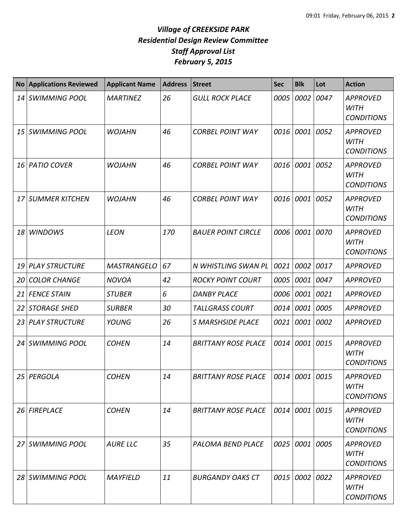| <b>No</b> | <b>Applications Reviewed</b> | <b>Applicant Name</b> | <b>Address</b> | <b>Street</b>              | <b>Sec</b>     | <b>Blk</b>     | Lot  | <b>Action</b>                                       |
|-----------|------------------------------|-----------------------|----------------|----------------------------|----------------|----------------|------|-----------------------------------------------------|
| 14        | <b>SWIMMING POOL</b>         | <b>MARTINEZ</b>       | 26             | <b>GULL ROCK PLACE</b>     | 0005           | 0002           | 0047 | <b>APPROVED</b><br><b>WITH</b><br><b>CONDITIONS</b> |
| 15        | <b>SWIMMING POOL</b>         | <b>WOJAHN</b>         | 46             | <b>CORBEL POINT WAY</b>    | 0016           | 0001           | 0052 | <b>APPROVED</b><br><b>WITH</b><br><b>CONDITIONS</b> |
| 16        | <b>PATIO COVER</b>           | <b>WOJAHN</b>         | 46             | <b>CORBEL POINT WAY</b>    | 0016           | 0001           | 0052 | <b>APPROVED</b><br><b>WITH</b><br><b>CONDITIONS</b> |
| 17        | <b>SUMMER KITCHEN</b>        | <b>WOJAHN</b>         | 46             | <b>CORBEL POINT WAY</b>    | 0016           | 0001           | 0052 | <b>APPROVED</b><br><b>WITH</b><br><b>CONDITIONS</b> |
| 18        | <b>WINDOWS</b>               | <b>LEON</b>           | 170            | <b>BAUER POINT CIRCLE</b>  | 0006           | 0001           | 0070 | <b>APPROVED</b><br><b>WITH</b><br><b>CONDITIONS</b> |
| 19        | <b>PLAY STRUCTURE</b>        | <b>MASTRANGELO</b>    | 67             | N WHISTLING SWAN PL        | 0021           | 0002           | 0017 | <b>APPROVED</b>                                     |
| 20        | <b>COLOR CHANGE</b>          | <b>NOVOA</b>          | 42             | <b>ROCKY POINT COURT</b>   | 0005           | 0001           | 0047 | <b>APPROVED</b>                                     |
| 21        | <b>FENCE STAIN</b>           | <b>STUBER</b>         | 6              | <b>DANBY PLACE</b>         | 0006           | 0001           | 0021 | <b>APPROVED</b>                                     |
| 22        | <b>STORAGE SHED</b>          | <b>SURBER</b>         | 30             | <b>TALLGRASS COURT</b>     | 0014           | 0001           | 0005 | <b>APPROVED</b>                                     |
| 23        | <b>PLAY STRUCTURE</b>        | YOUNG                 | 26             | <b>S MARSHSIDE PLACE</b>   | 0021           | 0001           | 0002 | <b>APPROVED</b>                                     |
| 24        | <b>SWIMMING POOL</b>         | <b>COHEN</b>          | 14             | <b>BRITTANY ROSE PLACE</b> | 0014           | 0001           | 0015 | <b>APPROVED</b><br><b>WITH</b><br><b>CONDITIONS</b> |
|           | 25 PERGOLA                   | <b>COHEN</b>          | 14             | <b>BRITTANY ROSE PLACE</b> | 0014 0001 0015 |                |      | <b>APPROVED</b><br><b>WITH</b><br><b>CONDITIONS</b> |
| 26        | <b>FIREPLACE</b>             | <b>COHEN</b>          | 14             | <b>BRITTANY ROSE PLACE</b> |                | 0014 0001      | 0015 | <b>APPROVED</b><br><b>WITH</b><br><b>CONDITIONS</b> |
|           | 27 SWIMMING POOL             | <b>AURE LLC</b>       | 35             | PALOMA BEND PLACE          |                | 0025 0001      | 0005 | <b>APPROVED</b><br><b>WITH</b><br><b>CONDITIONS</b> |
|           | 28 SWIMMING POOL             | <b>MAYFIELD</b>       | 11             | <b>BURGANDY OAKS CT</b>    |                | 0015 0002 0022 |      | <b>APPROVED</b><br><b>WITH</b><br><b>CONDITIONS</b> |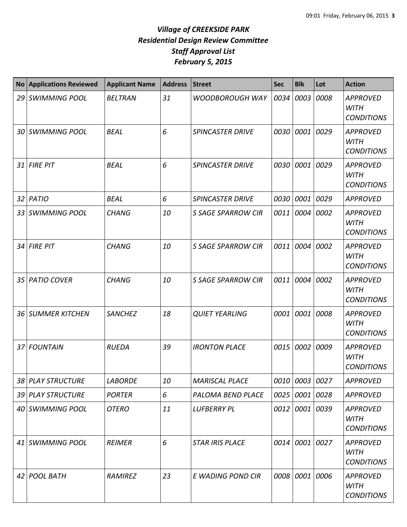| <b>No</b> | <b>Applications Reviewed</b> | <b>Applicant Name</b> | <b>Address</b> | <b>Street</b>             | <b>Sec</b> | <b>Blk</b>     | Lot  | <b>Action</b>                                       |
|-----------|------------------------------|-----------------------|----------------|---------------------------|------------|----------------|------|-----------------------------------------------------|
| 29        | <b>SWIMMING POOL</b>         | <b>BELTRAN</b>        | 31             | <b>WOODBOROUGH WAY</b>    | 0034       | 0003           | 0008 | <b>APPROVED</b><br><b>WITH</b><br><b>CONDITIONS</b> |
| 30        | <b>SWIMMING POOL</b>         | <b>BEAL</b>           | 6              | <b>SPINCASTER DRIVE</b>   | 0030       | 0001           | 0029 | <b>APPROVED</b><br><b>WITH</b><br><b>CONDITIONS</b> |
| 31        | <b>FIRE PIT</b>              | <b>BEAL</b>           | 6              | <b>SPINCASTER DRIVE</b>   |            | 0030 0001      | 0029 | <b>APPROVED</b><br><b>WITH</b><br><b>CONDITIONS</b> |
| 32        | PATIO                        | <b>BEAL</b>           | 6              | <b>SPINCASTER DRIVE</b>   | 0030       | 0001           | 0029 | <b>APPROVED</b>                                     |
| 33        | <b>SWIMMING POOL</b>         | <b>CHANG</b>          | 10             | <b>S SAGE SPARROW CIR</b> | 0011       | 0004           | 0002 | <b>APPROVED</b><br><b>WITH</b><br><b>CONDITIONS</b> |
| 34        | <b>FIRE PIT</b>              | <b>CHANG</b>          | 10             | <b>S SAGE SPARROW CIR</b> | 0011       | 0004           | 0002 | <b>APPROVED</b><br><b>WITH</b><br><b>CONDITIONS</b> |
|           | 35 PATIO COVER               | <b>CHANG</b>          | 10             | <b>S SAGE SPARROW CIR</b> | 0011       | 0004           | 0002 | <b>APPROVED</b><br><b>WITH</b><br><b>CONDITIONS</b> |
| 36        | SUMMER KITCHEN               | <b>SANCHEZ</b>        | 18             | <b>QUIET YEARLING</b>     | 0001       | 0001           | 0008 | <b>APPROVED</b><br><b>WITH</b><br><b>CONDITIONS</b> |
| 37        | <b>FOUNTAIN</b>              | <b>RUEDA</b>          | 39             | <b>IRONTON PLACE</b>      | 0015       | 0002           | 0009 | <b>APPROVED</b><br><b>WITH</b><br><b>CONDITIONS</b> |
|           | 38 PLAY STRUCTURE            | <b>LABORDE</b>        | 10             | <b>MARISCAL PLACE</b>     |            | 0010 0003 0027 |      | <b>APPROVED</b>                                     |
|           | 39 PLAY STRUCTURE            | <b>PORTER</b>         | 6              | PALOMA BEND PLACE         |            | 0025 0001 0028 |      | <b>APPROVED</b>                                     |
|           | 40 SWIMMING POOL             | <b>OTERO</b>          | 11             | <b>LUFBERRY PL</b>        |            | 0012 0001      | 0039 | <b>APPROVED</b><br><b>WITH</b><br><b>CONDITIONS</b> |
| 41        | <b>SWIMMING POOL</b>         | <b>REIMER</b>         | 6              | <b>STAR IRIS PLACE</b>    |            | 0014 0001      | 0027 | <b>APPROVED</b><br><b>WITH</b><br><b>CONDITIONS</b> |
|           | 42 POOL BATH                 | RAMIREZ               | 23             | E WADING POND CIR         |            | 0008 0001      | 0006 | <b>APPROVED</b><br><b>WITH</b><br><b>CONDITIONS</b> |